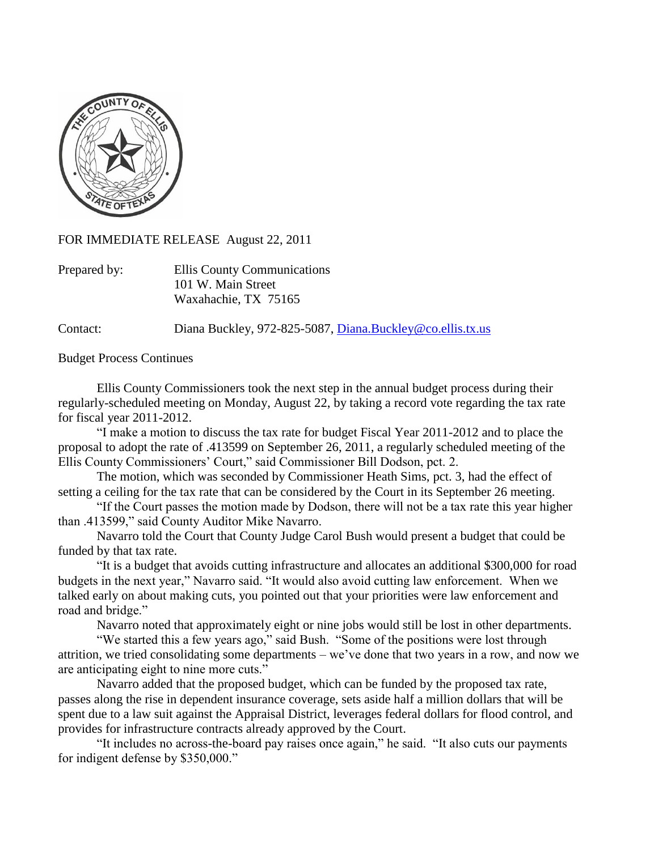

FOR IMMEDIATE RELEASE August 22, 2011

| Prepared by: | Ellis County Communications |
|--------------|-----------------------------|
|              | 101 W. Main Street          |
|              | Waxahachie, TX 75165        |

Contact: Diana Buckley, 972-825-5087, [Diana.Buckley@co.ellis.tx.us](mailto:Diana.Buckley@co.ellis.tx.us)

Budget Process Continues

Ellis County Commissioners took the next step in the annual budget process during their regularly-scheduled meeting on Monday, August 22, by taking a record vote regarding the tax rate for fiscal year 2011-2012.

"I make a motion to discuss the tax rate for budget Fiscal Year 2011-2012 and to place the proposal to adopt the rate of .413599 on September 26, 2011, a regularly scheduled meeting of the Ellis County Commissioners' Court," said Commissioner Bill Dodson, pct. 2.

The motion, which was seconded by Commissioner Heath Sims, pct. 3, had the effect of setting a ceiling for the tax rate that can be considered by the Court in its September 26 meeting.

"If the Court passes the motion made by Dodson, there will not be a tax rate this year higher than .413599," said County Auditor Mike Navarro.

Navarro told the Court that County Judge Carol Bush would present a budget that could be funded by that tax rate.

"It is a budget that avoids cutting infrastructure and allocates an additional \$300,000 for road budgets in the next year," Navarro said. "It would also avoid cutting law enforcement. When we talked early on about making cuts, you pointed out that your priorities were law enforcement and road and bridge."

Navarro noted that approximately eight or nine jobs would still be lost in other departments.

"We started this a few years ago," said Bush. "Some of the positions were lost through attrition, we tried consolidating some departments – we've done that two years in a row, and now we are anticipating eight to nine more cuts."

Navarro added that the proposed budget, which can be funded by the proposed tax rate, passes along the rise in dependent insurance coverage, sets aside half a million dollars that will be spent due to a law suit against the Appraisal District, leverages federal dollars for flood control, and provides for infrastructure contracts already approved by the Court.

"It includes no across-the-board pay raises once again," he said. "It also cuts our payments for indigent defense by \$350,000."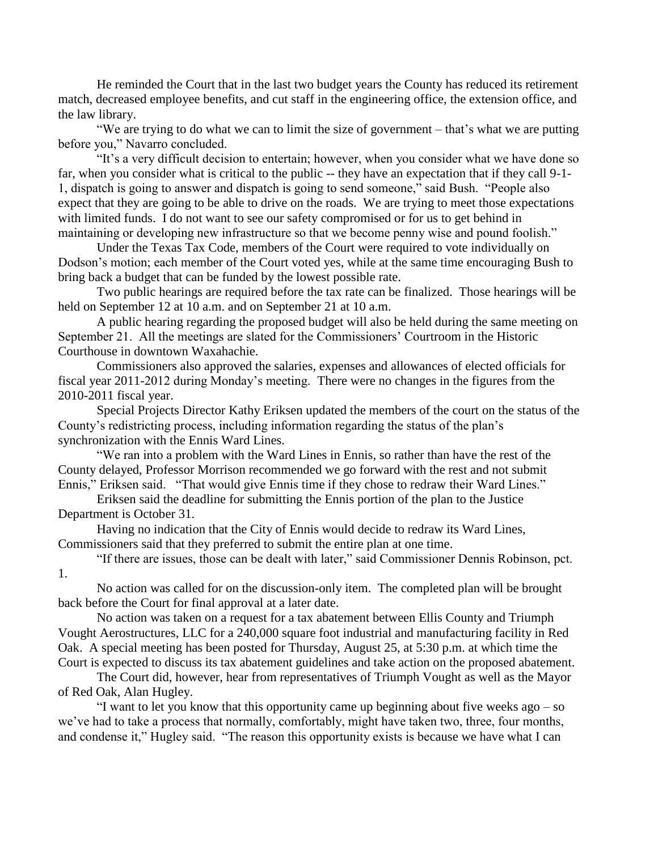He reminded the Court that in the last two budget years the County has reduced its retirement match, decreased employee benefits, and cut staff in the engineering office, the extension office, and the law library.

"We are trying to do what we can to limit the size of government – that's what we are putting before you," Navarro concluded.

"It's a very difficult decision to entertain; however, when you consider what we have done so far, when you consider what is critical to the public -- they have an expectation that if they call 9-1- 1, dispatch is going to answer and dispatch is going to send someone," said Bush. "People also expect that they are going to be able to drive on the roads. We are trying to meet those expectations with limited funds. I do not want to see our safety compromised or for us to get behind in maintaining or developing new infrastructure so that we become penny wise and pound foolish."

Under the Texas Tax Code, members of the Court were required to vote individually on Dodson's motion; each member of the Court voted yes, while at the same time encouraging Bush to bring back a budget that can be funded by the lowest possible rate.

Two public hearings are required before the tax rate can be finalized. Those hearings will be held on September 12 at 10 a.m. and on September 21 at 10 a.m.

A public hearing regarding the proposed budget will also be held during the same meeting on September 21. All the meetings are slated for the Commissioners' Courtroom in the Historic Courthouse in downtown Waxahachie.

Commissioners also approved the salaries, expenses and allowances of elected officials for fiscal year 2011-2012 during Monday's meeting. There were no changes in the figures from the 2010-2011 fiscal year.

Special Projects Director Kathy Eriksen updated the members of the court on the status of the County's redistricting process, including information regarding the status of the plan's synchronization with the Ennis Ward Lines.

"We ran into a problem with the Ward Lines in Ennis, so rather than have the rest of the County delayed, Professor Morrison recommended we go forward with the rest and not submit Ennis," Eriksen said. "That would give Ennis time if they chose to redraw their Ward Lines."

Eriksen said the deadline for submitting the Ennis portion of the plan to the Justice Department is October 31.

Having no indication that the City of Ennis would decide to redraw its Ward Lines, Commissioners said that they preferred to submit the entire plan at one time.

1.

"If there are issues, those can be dealt with later," said Commissioner Dennis Robinson, pct.

No action was called for on the discussion-only item. The completed plan will be brought back before the Court for final approval at a later date.

No action was taken on a request for a tax abatement between Ellis County and Triumph Vought Aerostructures, LLC for a 240,000 square foot industrial and manufacturing facility in Red Oak. A special meeting has been posted for Thursday, August 25, at 5:30 p.m. at which time the Court is expected to discuss its tax abatement guidelines and take action on the proposed abatement.

The Court did, however, hear from representatives of Triumph Vought as well as the Mayor of Red Oak, Alan Hugley.

"I want to let you know that this opportunity came up beginning about five weeks ago – so we've had to take a process that normally, comfortably, might have taken two, three, four months, and condense it," Hugley said. "The reason this opportunity exists is because we have what I can